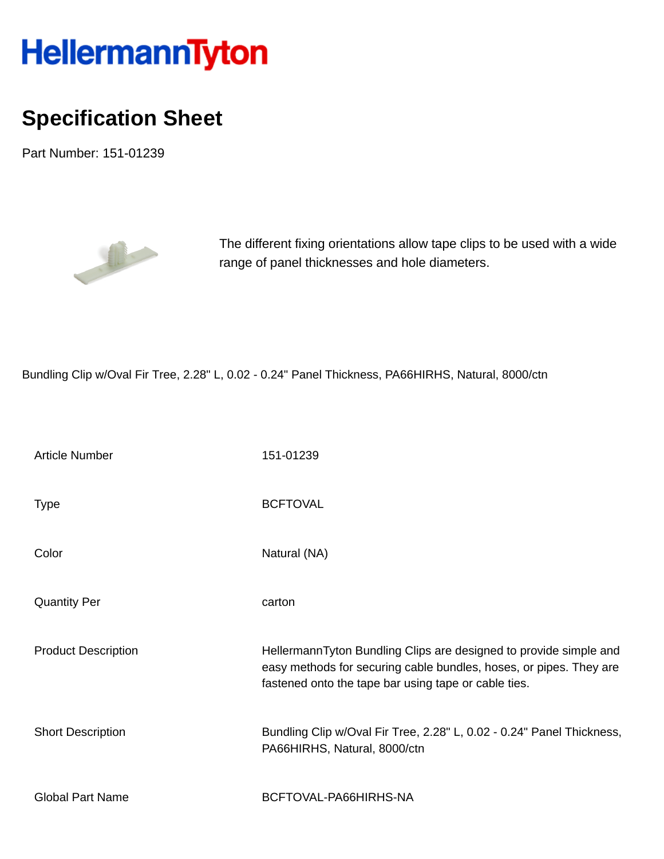## HellermannTyton

## **Specification Sheet**

Part Number: 151-01239



The different fixing orientations allow tape clips to be used with a wide range of panel thicknesses and hole diameters.

Bundling Clip w/Oval Fir Tree, 2.28" L, 0.02 - 0.24" Panel Thickness, PA66HIRHS, Natural, 8000/ctn

| <b>Article Number</b>      | 151-01239                                                                                                                                                                                       |
|----------------------------|-------------------------------------------------------------------------------------------------------------------------------------------------------------------------------------------------|
| <b>Type</b>                | <b>BCFTOVAL</b>                                                                                                                                                                                 |
| Color                      | Natural (NA)                                                                                                                                                                                    |
| <b>Quantity Per</b>        | carton                                                                                                                                                                                          |
| <b>Product Description</b> | HellermannTyton Bundling Clips are designed to provide simple and<br>easy methods for securing cable bundles, hoses, or pipes. They are<br>fastened onto the tape bar using tape or cable ties. |
| <b>Short Description</b>   | Bundling Clip w/Oval Fir Tree, 2.28" L, 0.02 - 0.24" Panel Thickness,<br>PA66HIRHS, Natural, 8000/ctn                                                                                           |
| <b>Global Part Name</b>    | BCFTOVAL-PA66HIRHS-NA                                                                                                                                                                           |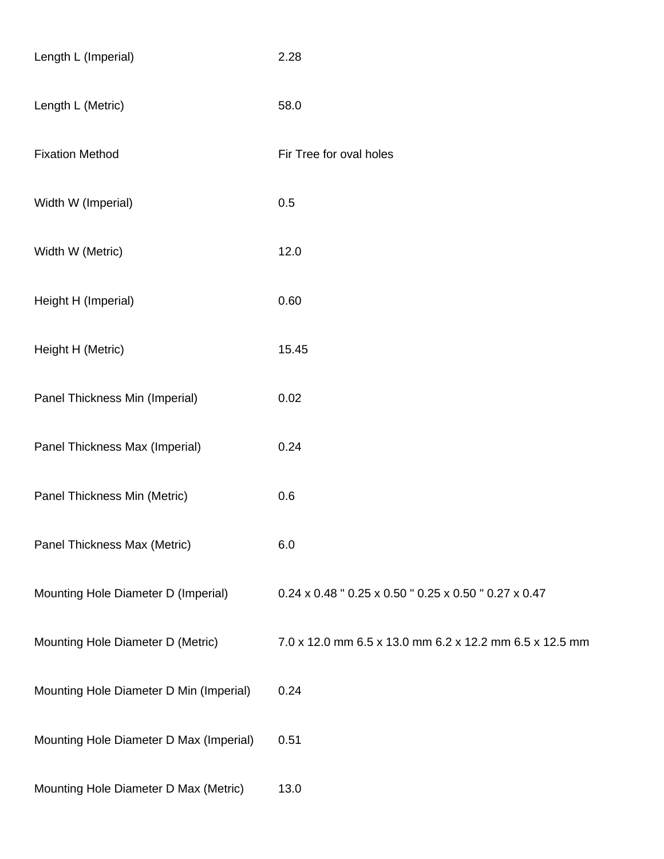| Length L (Imperial)                     | 2.28                                                    |
|-----------------------------------------|---------------------------------------------------------|
| Length L (Metric)                       | 58.0                                                    |
| <b>Fixation Method</b>                  | Fir Tree for oval holes                                 |
| Width W (Imperial)                      | 0.5                                                     |
| Width W (Metric)                        | 12.0                                                    |
| Height H (Imperial)                     | 0.60                                                    |
| Height H (Metric)                       | 15.45                                                   |
| Panel Thickness Min (Imperial)          | 0.02                                                    |
| Panel Thickness Max (Imperial)          | 0.24                                                    |
| Panel Thickness Min (Metric)            | 0.6                                                     |
| Panel Thickness Max (Metric)            | 6.0                                                     |
| Mounting Hole Diameter D (Imperial)     | 0.24 x 0.48 " 0.25 x 0.50 " 0.25 x 0.50 " 0.27 x 0.47   |
| Mounting Hole Diameter D (Metric)       | 7.0 x 12.0 mm 6.5 x 13.0 mm 6.2 x 12.2 mm 6.5 x 12.5 mm |
| Mounting Hole Diameter D Min (Imperial) | 0.24                                                    |
| Mounting Hole Diameter D Max (Imperial) | 0.51                                                    |
| Mounting Hole Diameter D Max (Metric)   | 13.0                                                    |